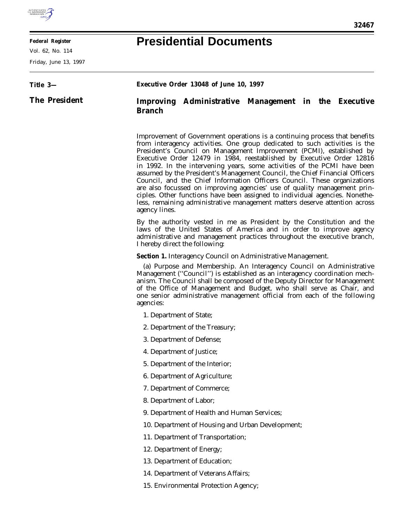

E

## **Federal Register**

Vol. 62, No. 114

Friday, June 13, 1997

## **Presidential Documents**

| Title 3—             | Executive Order 13048 of June 10, 1997                                                                                                                                                                                                                                                                                                                                                                                                                                                                                                                                                                                                                                                                                                                                                                                                                                                                                                                                                                                                                                    |                                                      |  |  |  |  |
|----------------------|---------------------------------------------------------------------------------------------------------------------------------------------------------------------------------------------------------------------------------------------------------------------------------------------------------------------------------------------------------------------------------------------------------------------------------------------------------------------------------------------------------------------------------------------------------------------------------------------------------------------------------------------------------------------------------------------------------------------------------------------------------------------------------------------------------------------------------------------------------------------------------------------------------------------------------------------------------------------------------------------------------------------------------------------------------------------------|------------------------------------------------------|--|--|--|--|
| <b>The President</b> | <b>Branch</b>                                                                                                                                                                                                                                                                                                                                                                                                                                                                                                                                                                                                                                                                                                                                                                                                                                                                                                                                                                                                                                                             | Improving Administrative Management in the Executive |  |  |  |  |
|                      | Improvement of Government operations is a continuing process that benefits<br>from interagency activities. One group dedicated to such activities is the<br>President's Council on Management Improvement (PCMI), established by<br>Executive Order 12479 in 1984, reestablished by Executive Order 12816<br>in 1992. In the intervening years, some activities of the PCMI have been<br>assumed by the President's Management Council, the Chief Financial Officers<br>Council, and the Chief Information Officers Council. These organizations<br>are also focussed on improving agencies' use of quality management prin-<br>ciples. Other functions have been assigned to individual agencies. Nonethe-<br>less, remaining administrative management matters deserve attention across<br>agency lines.<br>By the authority vested in me as President by the Constitution and the<br>laws of the United States of America and in order to improve agency<br>administrative and management practices throughout the executive branch,<br>I hereby direct the following: |                                                      |  |  |  |  |
|                      |                                                                                                                                                                                                                                                                                                                                                                                                                                                                                                                                                                                                                                                                                                                                                                                                                                                                                                                                                                                                                                                                           |                                                      |  |  |  |  |
|                      | <b>Section 1.</b> Interagency Council on Administrative Management.                                                                                                                                                                                                                                                                                                                                                                                                                                                                                                                                                                                                                                                                                                                                                                                                                                                                                                                                                                                                       |                                                      |  |  |  |  |
|                      | (a) Purpose and Membership. An Interagency Council on Administrative<br>Management ("Council") is established as an interagency coordination mech-<br>anism. The Council shall be composed of the Deputy Director for Management<br>of the Office of Management and Budget, who shall serve as Chair, and<br>one senior administrative management official from each of the following<br>agencies:                                                                                                                                                                                                                                                                                                                                                                                                                                                                                                                                                                                                                                                                        |                                                      |  |  |  |  |
|                      | 1. Department of State;                                                                                                                                                                                                                                                                                                                                                                                                                                                                                                                                                                                                                                                                                                                                                                                                                                                                                                                                                                                                                                                   |                                                      |  |  |  |  |
|                      |                                                                                                                                                                                                                                                                                                                                                                                                                                                                                                                                                                                                                                                                                                                                                                                                                                                                                                                                                                                                                                                                           | 2. Department of the Treasury;                       |  |  |  |  |
|                      |                                                                                                                                                                                                                                                                                                                                                                                                                                                                                                                                                                                                                                                                                                                                                                                                                                                                                                                                                                                                                                                                           | 3. Department of Defense;                            |  |  |  |  |
|                      |                                                                                                                                                                                                                                                                                                                                                                                                                                                                                                                                                                                                                                                                                                                                                                                                                                                                                                                                                                                                                                                                           | 4. Department of Justice;                            |  |  |  |  |
|                      |                                                                                                                                                                                                                                                                                                                                                                                                                                                                                                                                                                                                                                                                                                                                                                                                                                                                                                                                                                                                                                                                           | 5. Department of the Interior;                       |  |  |  |  |
|                      |                                                                                                                                                                                                                                                                                                                                                                                                                                                                                                                                                                                                                                                                                                                                                                                                                                                                                                                                                                                                                                                                           | 6. Department of Agriculture;                        |  |  |  |  |
|                      |                                                                                                                                                                                                                                                                                                                                                                                                                                                                                                                                                                                                                                                                                                                                                                                                                                                                                                                                                                                                                                                                           | 7. Department of Commerce;                           |  |  |  |  |
|                      |                                                                                                                                                                                                                                                                                                                                                                                                                                                                                                                                                                                                                                                                                                                                                                                                                                                                                                                                                                                                                                                                           | 8. Department of Labor;                              |  |  |  |  |
|                      |                                                                                                                                                                                                                                                                                                                                                                                                                                                                                                                                                                                                                                                                                                                                                                                                                                                                                                                                                                                                                                                                           | 9. Department of Health and Human Services;          |  |  |  |  |
|                      |                                                                                                                                                                                                                                                                                                                                                                                                                                                                                                                                                                                                                                                                                                                                                                                                                                                                                                                                                                                                                                                                           | 10. Department of Housing and Urban Development;     |  |  |  |  |
|                      |                                                                                                                                                                                                                                                                                                                                                                                                                                                                                                                                                                                                                                                                                                                                                                                                                                                                                                                                                                                                                                                                           | 11. Department of Transportation;                    |  |  |  |  |
|                      |                                                                                                                                                                                                                                                                                                                                                                                                                                                                                                                                                                                                                                                                                                                                                                                                                                                                                                                                                                                                                                                                           | 12. Department of Energy;                            |  |  |  |  |
|                      |                                                                                                                                                                                                                                                                                                                                                                                                                                                                                                                                                                                                                                                                                                                                                                                                                                                                                                                                                                                                                                                                           | 13. Department of Education;                         |  |  |  |  |
|                      |                                                                                                                                                                                                                                                                                                                                                                                                                                                                                                                                                                                                                                                                                                                                                                                                                                                                                                                                                                                                                                                                           | 14. Department of Veterans Affairs;                  |  |  |  |  |
|                      |                                                                                                                                                                                                                                                                                                                                                                                                                                                                                                                                                                                                                                                                                                                                                                                                                                                                                                                                                                                                                                                                           | 15. Environmental Protection Agency;                 |  |  |  |  |
|                      |                                                                                                                                                                                                                                                                                                                                                                                                                                                                                                                                                                                                                                                                                                                                                                                                                                                                                                                                                                                                                                                                           |                                                      |  |  |  |  |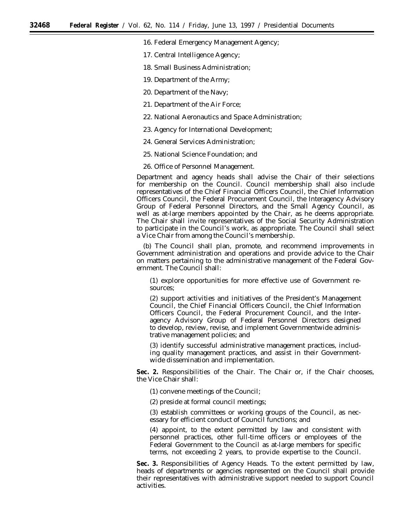16. Federal Emergency Management Agency;

17. Central Intelligence Agency;

18. Small Business Administration;

19. Department of the Army;

20. Department of the Navy;

21. Department of the Air Force;

22. National Aeronautics and Space Administration;

23. Agency for International Development;

24. General Services Administration;

25. National Science Foundation; and

26. Office of Personnel Management.

Department and agency heads shall advise the Chair of their selections for membership on the Council. Council membership shall also include representatives of the Chief Financial Officers Council, the Chief Information Officers Council, the Federal Procurement Council, the Interagency Advisory Group of Federal Personnel Directors, and the Small Agency Council, as well as at-large members appointed by the Chair, as he deems appropriate. The Chair shall invite representatives of the Social Security Administration to participate in the Council's work, as appropriate. The Council shall select a Vice Chair from among the Council's membership.

(b) The Council shall plan, promote, and recommend improvements in Government administration and operations and provide advice to the Chair on matters pertaining to the administrative management of the Federal Government. The Council shall:

(1) explore opportunities for more effective use of Government resources;

(2) support activities and initiatives of the President's Management Council, the Chief Financial Officers Council, the Chief Information Officers Council, the Federal Procurement Council, and the Interagency Advisory Group of Federal Personnel Directors designed to develop, review, revise, and implement Governmentwide administrative management policies; and

(3) identify successful administrative management practices, including quality management practices, and assist in their Governmentwide dissemination and implementation.

**Sec. 2.** *Responsibilities of the Chair.* The Chair or, if the Chair chooses, the Vice Chair shall:

(1) convene meetings of the Council;

(2) preside at formal council meetings;

(3) establish committees or working groups of the Council, as necessary for efficient conduct of Council functions; and

(4) appoint, to the extent permitted by law and consistent with personnel practices, other full-time officers or employees of the Federal Government to the Council as at-large members for specific terms, not exceeding 2 years, to provide expertise to the Council.

**Sec. 3.** *Responsibilities of Agency Heads.* To the extent permitted by law, heads of departments or agencies represented on the Council shall provide their representatives with administrative support needed to support Council activities.